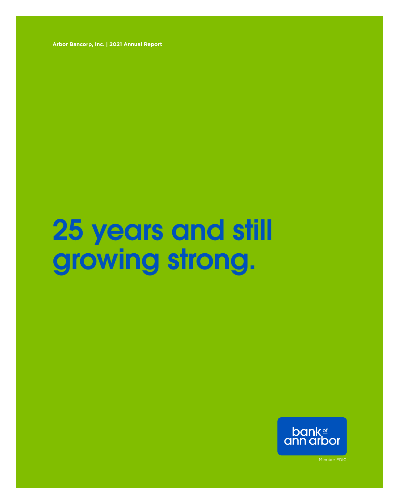**Arbor Bancorp, Inc. | 2021 Annual Report**

# 25 years and still growing strong.

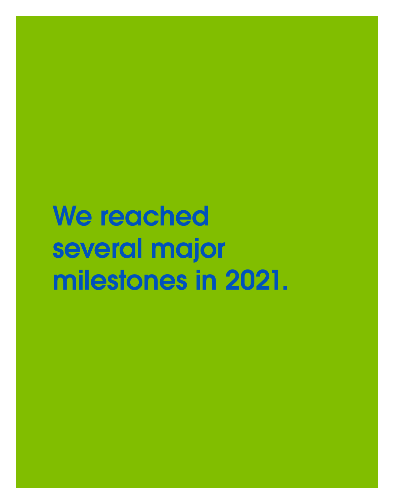# We reached several major milestones in 2021.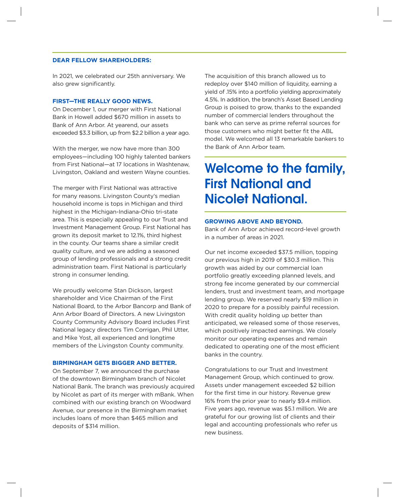## **DEAR FELLOW SHAREHOLDERS:**

In 2021, we celebrated our 25th anniversary. We also grew significantly.

## **FIRST—THE REALLY GOOD NEWS.**

On December 1, our merger with First National Bank in Howell added \$670 million in assets to Bank of Ann Arbor. At yearend, our assets exceeded \$3.3 billion, up from \$2.2 billion a year ago.

With the merger, we now have more than 300 employees—including 100 highly talented bankers from First National—at 17 locations in Washtenaw, Livingston, Oakland and western Wayne counties.

The merger with First National was attractive for many reasons. Livingston County's median household income is tops in Michigan and third highest in the Michigan-Indiana-Ohio tri-state area. This is especially appealing to our Trust and Investment Management Group. First National has grown its deposit market to 12.1%, third highest in the county. Our teams share a similar credit quality culture, and we are adding a seasoned group of lending professionals and a strong credit administration team. First National is particularly strong in consumer lending.

We proudly welcome Stan Dickson, largest shareholder and Vice Chairman of the First National Board, to the Arbor Bancorp and Bank of Ann Arbor Board of Directors. A new Livingston County Community Advisory Board includes First National legacy directors Tim Corrigan, Phil Utter, and Mike Yost, all experienced and longtime members of the Livingston County community.

### **BIRMINGHAM GETS BIGGER AND BETTER.**

On September 7, we announced the purchase of the downtown Birmingham branch of Nicolet National Bank. The branch was previously acquired by Nicolet as part of its merger with mBank. When combined with our existing branch on Woodward Avenue, our presence in the Birmingham market includes loans of more than \$465 million and deposits of \$314 million.

The acquisition of this branch allowed us to redeploy over \$140 million of liquidity, earning a yield of .15% into a portfolio yielding approximately 4.5%. In addition, the branch's Asset Based Lending Group is poised to grow, thanks to the expanded number of commercial lenders throughout the bank who can serve as prime referral sources for those customers who might better fit the ABL model. We welcomed all 13 remarkable bankers to the Bank of Ann Arbor team.

# Welcome to the family, First National and Nicolet National.

#### **GROWING ABOVE AND BEYOND.**

Bank of Ann Arbor achieved record-level growth in a number of areas in 2021.

Our net income exceeded \$37.5 million, topping our previous high in 2019 of \$30.3 million. This growth was aided by our commercial loan portfolio greatly exceeding planned levels, and strong fee income generated by our commercial lenders, trust and investment team, and mortgage lending group. We reserved nearly \$19 million in 2020 to prepare for a possibly painful recession. With credit quality holding up better than anticipated, we released some of those reserves, which positively impacted earnings. We closely monitor our operating expenses and remain dedicated to operating one of the most efficient banks in the country.

Congratulations to our Trust and Investment Management Group, which continued to grow. Assets under management exceeded \$2 billion for the first time in our history. Revenue grew 16% from the prior year to nearly \$9.4 million. Five years ago, revenue was \$5.1 million. We are grateful for our growing list of clients and their legal and accounting professionals who refer us new business.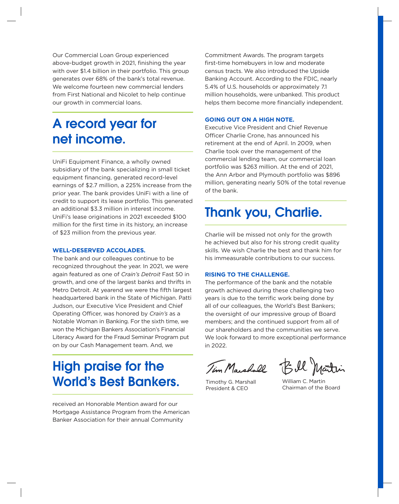Our Commercial Loan Group experienced above-budget growth in 2021, finishing the year with over \$1.4 billion in their portfolio. This group generates over 68% of the bank's total revenue. We welcome fourteen new commercial lenders from First National and Nicolet to help continue our growth in commercial loans.

# A record year for net income.

UniFi Equipment Finance, a wholly owned subsidiary of the bank specializing in small ticket equipment financing, generated record-level earnings of \$2.7 million, a 225% increase from the prior year. The bank provides UniFi with a line of credit to support its lease portfolio. This generated an additional \$3.3 million in interest income. UniFi's lease originations in 2021 exceeded \$100 million for the first time in its history, an increase of \$23 million from the previous year.

### **WELL-DESERVED ACCOLADES.**

The bank and our colleagues continue to be recognized throughout the year. In 2021, we were again featured as one of *Crain's Detroit* Fast 50 in growth, and one of the largest banks and thrifts in Metro Detroit. At yearend we were the fifth largest headquartered bank in the State of Michigan. Patti Judson, our Executive Vice President and Chief Operating Officer, was honored by *Crain's* as a Notable Woman in Banking. For the sixth time, we won the Michigan Bankers Association's Financial Literacy Award for the Fraud Seminar Program put on by our Cash Management team. And, we

# High praise for the World's Best Bankers.

received an Honorable Mention award for our Mortgage Assistance Program from the American Banker Association for their annual Community

Commitment Awards. The program targets first-time homebuyers in low and moderate census tracts. We also introduced the Upside Banking Account. According to the FDIC, nearly 5.4% of U.S. households or approximately 7.1 million households, were unbanked. This product helps them become more financially independent.

## **GOING OUT ON A HIGH NOTE.**

Executive Vice President and Chief Revenue Officer Charlie Crone, has announced his retirement at the end of April. In 2009, when Charlie took over the management of the commercial lending team, our commercial loan portfolio was \$263 million. At the end of 2021, the Ann Arbor and Plymouth portfolio was \$896 million, generating nearly 50% of the total revenue of the bank.

# Thank you, Charlie.

Charlie will be missed not only for the growth he achieved but also for his strong credit quality skills. We wish Charlie the best and thank him for his immeasurable contributions to our success.

### **RISING TO THE CHALLENGE.**

The performance of the bank and the notable growth achieved during these challenging two years is due to the terrific work being done by all of our colleagues, the World's Best Bankers; the oversight of our impressive group of Board members; and the continued support from all of our shareholders and the communities we serve. We look forward to more exceptional performance in 2022.

Tim Marshall

Bill Martin

Timothy G. Marshall President & CEO

William C. Martin Chairman of the Board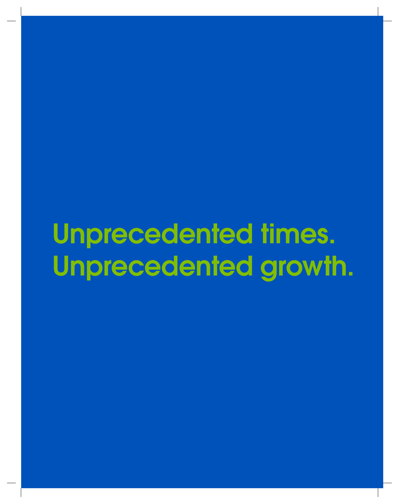# Unprecedented times. Unprecedented growth.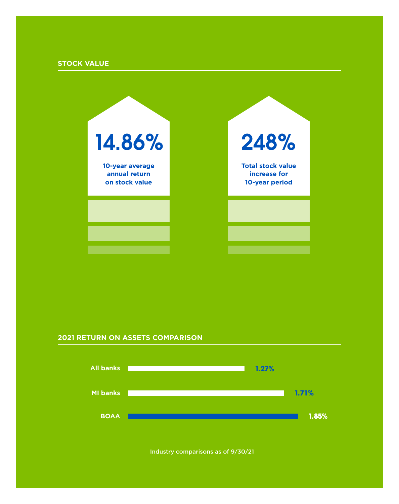# **STOCK VALUE**

 $\overline{\phantom{a}}$ 

| 14.86%                                             | 248%                                                       |  |  |
|----------------------------------------------------|------------------------------------------------------------|--|--|
| 10-year average<br>annual return<br>on stock value | <b>Total stock value</b><br>increase for<br>10-year period |  |  |
|                                                    |                                                            |  |  |
|                                                    |                                                            |  |  |

# **2021 RETURN ON ASSETS COMPARISON**



Industry comparisons as of 9/30/21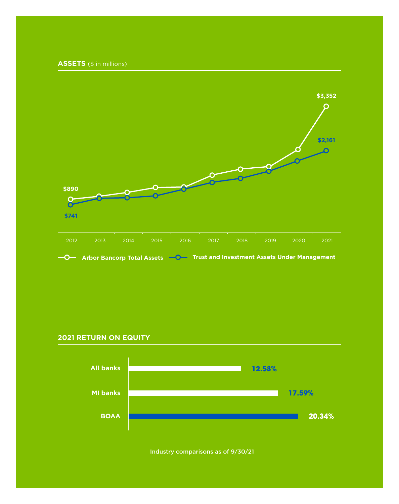**ASSETS** (\$ in millions)



**Arbor Bancorp Total Assets TO** Trust and Investment Assets Under Management

# **2021 RETURN ON EQUITY**



Industry comparisons as of 9/30/21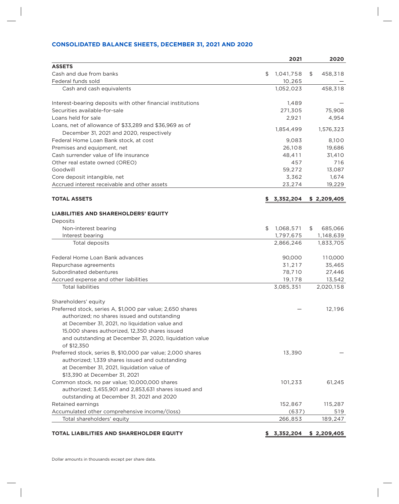# **CONSOLIDATED BALANCE SHEETS, DECEMBER 31, 2021 AND 2020**

|                                                             | 2021            | 2020          |
|-------------------------------------------------------------|-----------------|---------------|
| <b>ASSETS</b>                                               |                 |               |
| Cash and due from banks                                     | \$<br>1,041,758 | \$<br>458,318 |
| Federal funds sold                                          | 10,265          |               |
| Cash and cash equivalents                                   | 1,052,023       | 458,318       |
| Interest-bearing deposits with other financial institutions | 1,489           |               |
| Securities available-for-sale                               | 271,305         | 75,908        |
| Loans held for sale                                         | 2,921           | 4,954         |
| Loans, net of allowance of \$33,289 and \$36,969 as of      | 1,854,499       | 1,576,323     |
| December 31, 2021 and 2020, respectively                    |                 |               |
| Federal Home Loan Bank stock, at cost                       | 9,083           | 8,100         |
| Premises and equipment, net                                 | 26,108          | 19,686        |
| Cash surrender value of life insurance                      | 48,411          | 31,410        |
| Other real estate owned (OREO)                              | 457             | 716           |
| Goodwill                                                    | 59,272          | 13,087        |
| Core deposit intangible, net                                | 3,362           | 1,674         |
| Accrued interest receivable and other assets                | 23,274          | 19,229        |
| <b>TOTAL ASSETS</b>                                         | 3,352,204       | \$2,209,405   |
| <b>LIABILITIES AND SHAREHOLDERS' EQUITY</b>                 |                 |               |
| Deposits                                                    |                 |               |
| Non-interest bearing                                        | \$<br>1,068,571 | \$<br>685,066 |
| Interest bearing                                            | 1,797,675       | 1,148,639     |
| Total deposits                                              | 2,866,246       | 1,833,705     |
| Federal Home Loan Bank advances                             | 90,000          | 110,000       |
| Repurchase agreements                                       | 31,217          | 35,465        |
| Subordinated debentures                                     | 78,710          | 27,446        |
| Accrued expense and other liabilities                       | 19,178          | 13,542        |
| <b>Total liabilities</b>                                    | 3,085,351       | 2,020,158     |
| Shareholders' equity                                        |                 |               |
| Preferred stock, series A, \$1,000 par value; 2,650 shares  |                 | 12,196        |
| authorized: no shares issued and outstanding                |                 |               |
| at December 31, 2021, no liquidation value and              |                 |               |
| 15,000 shares authorized, 12,350 shares issued              |                 |               |
| and outstanding at December 31, 2020, liquidation value     |                 |               |
| of \$12,350                                                 |                 |               |
| Preferred stock, series B, \$10,000 par value; 2,000 shares | 13,390          |               |
| authorized; 1,339 shares issued and outstanding             |                 |               |
| at December 31, 2021, liquidation value of                  |                 |               |
| \$13,390 at December 31, 2021                               |                 |               |
| Common stock, no par value; 10,000,000 shares               | 101,233         | 61,245        |
| authorized; 3,455,901 and 2,853,631 shares issued and       |                 |               |
| outstanding at December 31, 2021 and 2020                   |                 |               |
| Retained earnings                                           | 152,867         | 115,287       |
| Accumulated other comprehensive income/(loss)               | (637)           | 519           |
| Total shareholders' equity                                  | 266,853         | 189,247       |

# **TOTAL LIABILITIES AND SHAREHOLDER EQUITY \$ 3,352,204 \$ 2,209,405**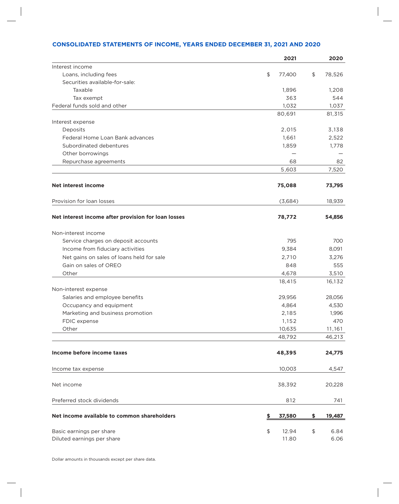|                                                        |                                               | 2021           | 2020               |
|--------------------------------------------------------|-----------------------------------------------|----------------|--------------------|
| Interest income                                        |                                               |                |                    |
| Loans, including fees                                  | \$                                            | 77,400         | \$<br>78,526       |
| Securities available-for-sale:                         |                                               |                |                    |
| Taxable                                                |                                               | 1,896          | 1,208              |
| Tax exempt                                             |                                               | 363            | 544                |
| Federal funds sold and other                           |                                               | 1,032          | 1,037              |
|                                                        |                                               | 80,691         | 81,315             |
| Interest expense                                       |                                               |                |                    |
| Deposits                                               |                                               | 2,015          | 3,138              |
| Federal Home Loan Bank advances                        |                                               | 1,661          | 2,522              |
| Subordinated debentures                                |                                               | 1,859          | 1,778              |
| Other borrowings                                       |                                               |                |                    |
| Repurchase agreements                                  |                                               | 68             | 82                 |
|                                                        |                                               | 5,603          | 7,520              |
| <b>Net interest income</b>                             |                                               | 75,088         | 73,795             |
| Provision for loan losses                              |                                               | (3,684)        | 18,939             |
| Net interest income after provision for loan losses    |                                               | 78,772         | 54,856             |
| Non-interest income                                    |                                               |                |                    |
| Service charges on deposit accounts                    |                                               | 795            | 700                |
| Income from fiduciary activities                       |                                               | 9,384          | 8,091              |
| Net gains on sales of loans held for sale              |                                               | 2,710          | 3,276              |
| Gain on sales of OREO                                  |                                               | 848            | 555                |
| Other                                                  |                                               | 4,678          | 3,510              |
|                                                        |                                               | 18,415         | 16,132             |
| Non-interest expense                                   |                                               |                |                    |
| Salaries and employee benefits                         |                                               | 29,956         | 28,056             |
| Occupancy and equipment                                |                                               | 4,864          | 4,530              |
| Marketing and business promotion                       |                                               | 2,185          | 1,996              |
| FDIC expense                                           |                                               | 1,152          | 470                |
| Other                                                  |                                               | 10,635         | 11,161             |
|                                                        |                                               | 48,792         | 46,213             |
| Income before income taxes                             |                                               | 48,395         | 24,775             |
| Income tax expense                                     |                                               | 10,003         | 4,547              |
|                                                        |                                               |                |                    |
| Net income                                             |                                               | 38,392         | 20,228             |
| Preferred stock dividends                              |                                               | 812            | 741                |
| Net income available to common shareholders            | \$                                            | 37,580         | \$<br>19,487       |
| Basic earnings per share<br>Diluted earnings per share | $\, \, \raisebox{12pt}{$\scriptstyle \circ$}$ | 12.94<br>11.80 | \$<br>6.84<br>6.06 |

Dollar amounts in thousands except per share data.

 $\overline{\phantom{a}}$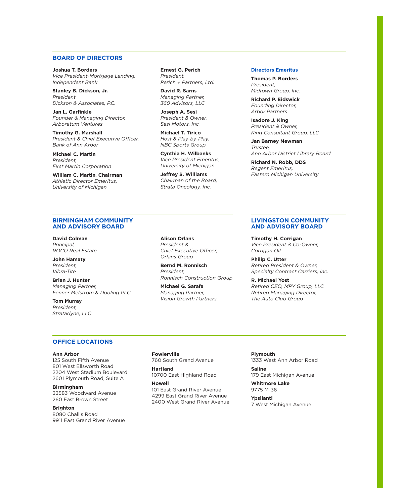## **BOARD OF DIRECTORS**

**Joshua T. Borders** *Vice President-Mortgage Lending, Independent Bank* 

**Stanley B. Dickson, Jr.** *President Dickson & Associates, P.C.*

**Jan L. Garfinkle** *Founder & Managing Director, Arboretum Ventures*

**Timothy G. Marshall** *President & Chief Executive Officer, Bank of Ann Arbor* 

**Michael C. Martin** *President, First Martin Corporation*

**William C. Martin**, **Chairman** *Athletic Director Emeritus, University of Michigan*

**Ernest G. Perich** *President, Perich + Partners, Ltd.*

**David R. Sarns** *Managing Partner, 360 Advisors, LLC*

**Joseph A. Sesi** *President & Owner, Sesi Motors, Inc.*

**Michael T. Tirico** *Host & Play-by-Play, NBC Sports Group*

**Cynthia H. Wilbanks** *Vice President Emeritus, University of Michigan*

**Jeffrey S. Williams** *Chairman of the Board, Strata Oncology, Inc.* 

#### **Directors Emeritus**

**Thomas P. Borders** *President, Midtown Group, Inc.* 

**Richard P. Eidswick** *Founding Director, Arbor Partners* 

**Isadore J. King**  *President & Owner, King Consultant Group, LLC* 

**Jan Barney Newman** *Trustee, Ann Arbor District Library Board*

**Richard N. Robb, DDS** *Regent Emeritus, Eastern Michigan University*

### **BIRMINGHAM COMMUNITY AND ADVISORY BOARD**

**David Colman** *Principal, ROCO Real Estate*

**John Hamaty** *President, Vibra-Tite*

**Brian J. Hunter** *Managing Partner, Fenner Melstrom & Dooling PLC*

**Tom Murray** *President, Stratadyne, LLC*

**Alison Orlans** *President & Chief Executive Officer, Orlans Group*

**Bernd M. Ronnisch** *President, Ronnisch Construction Group*

**Michael G. Sarafa** *Managing Partner, Vision Growth Partners*

#### **LIVINGSTON COMMUNITY AND ADVISORY BOARD**

**Timothy H. Corrigan** *Vice President & Co-Owner, Corrigan Oil*

**Philip C. Utter** *Retired President & Owner, Specialty Contract Carriers, Inc.*

**R. Michael Yost** *Retired CEO, MPY Group, LLC Retired Managing Director, The Auto Club Group*

## **OFFICE LOCATIONS**

#### **Ann Arbor**

125 South Fifth Avenue 801 West Ellsworth Road 2204 West Stadium Boulevard 2601 Plymouth Road, Suite A

**Birmingham** 33583 Woodward Avenue 260 East Brown Street

**Brighton** 8080 Challis Road 9911 East Grand River Avenue **Fowlerville** 760 South Grand Avenue

**Hartland** 10700 East Highland Road

**Howell**

101 East Grand River Avenue 4299 East Grand River Avenue 2400 West Grand River Avenue

**Plymouth**  1333 West Ann Arbor Road

**Saline**  179 East Michigan Avenue

**Whitmore Lake** 9775 M-36

**Ypsilanti** 7 West Michigan Avenue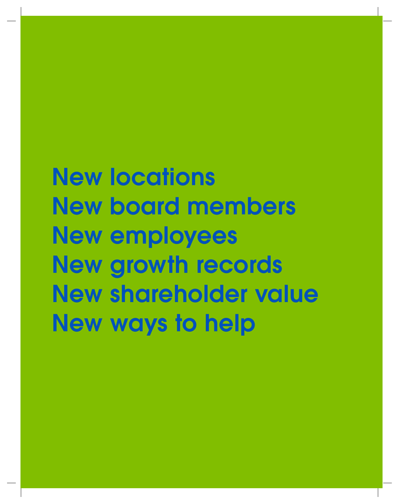# New locations New board members New employees New growth records New shareholder value New ways to help